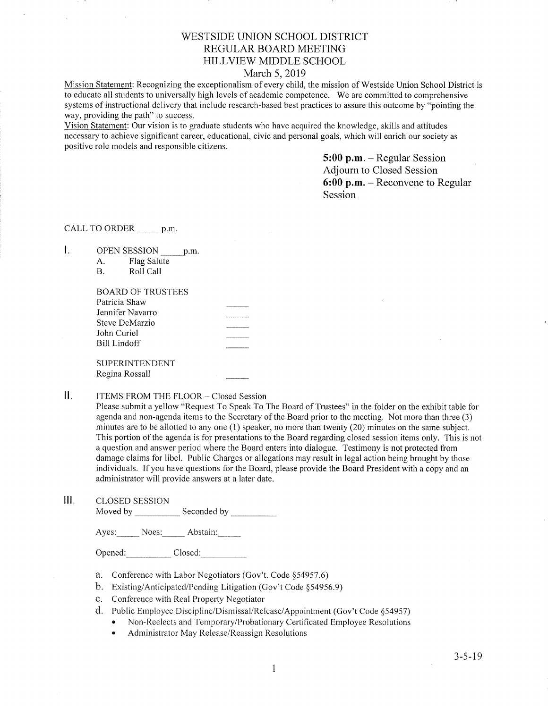# WESTSIDE LINION SCHOOL DISTRICT REGULAR BOARD MEETING HILLVIEW MIDDLE SCHOOL

## March 5,2019

Mission Statement: Recognizing the exceptionalism of every child, the mission of Westside Union School District is to educate all students to universally high levels of academic competence. We are committed to comprehensive systems of instructional delivery that include research-based best practices to assure this outcome by "pointing the way, providing the path" to success.

Vision Statement: Our vision is to graduate students who have acquired the knowledge, skills and attitudes necessary to achieve significant career, educational, civic and personal goals, which will enrich our society as positive role models and responsible citizens.

> 5:00 p.m. - Regular Session Adjourn to Closed Session 6:00 p.m. - Reconvene to Regular Session

CALL TO ORDER p.m.

OPEN SESSION \_p.rl A. Flag Salute B. RollCall  $\mathbf{L}$ 

| А. | r lag Salute |
|----|--------------|
|    | Roll Call    |

| BOARD OF TRUSTEES |  |
|-------------------|--|
| Patricia Shaw     |  |
| Jennifer Navarro  |  |
| Steve DeMarzio    |  |
| John Curiel       |  |
| Bill Lindoff      |  |
|                   |  |
| SUPERINTENDENT    |  |
| Regina Rossall    |  |

### $\prod$ ITEMS FROM THE FLOOR - Closed Session

Please submit a yellow "Request To Speak To The Board of Trustees" in the folder on the exhibit table for agenda and non-agenda items to the Secretary of the Board prior to the meeting. Not more than three (3) minutes are to be allotted to any one (1) speaker, no more than twenty (20) minutes on the same subject. This pottion of the agenda is for presentations to the Board regarding closed session items only. This is not a question and answer period where the Board enters into dialogue. Testimony is not protected from damage claims for libel. Public Charges or allegations may result in legal action being brought by those individuals. If you have questions for the Board, please provide the Board President with a copy and an administrator will provide answers at a later date.

lll. cLosED sESSroN Moved by Seconded by

Ayes: Noes: Abstain:

Opened: Closed:

- a. Conference with Labor Negotiators (Gov't. Code \$54957.6) b. Existing/Anticipated/Pending Litigation (Gov't Code \$54956.9)
- 
- c. Conference with Real Property Negotiator
- d. Public Employee Discipline/Dismissal/Release/Appointment (Gov't Code §54957)
	- Non-Reelects and Temporary/Probationary Certificated Employee Resolutions
	- Administrator May Release/Reassign Resolutions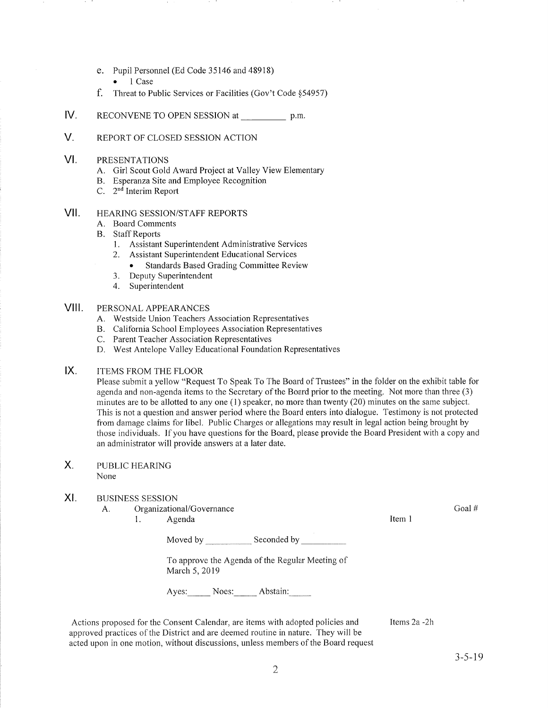- e. Pupil Personnel (Ed Code 35746 and 48918)
	- 1 Case
- f. Threat to Public Services or Facilities (Gov't Code \$54957)
- IV RECONVENE TO OPEN SESSION at p.m.
- V. REPORT OF CLOSED SESSION ACTION

#### VI PRESENTATIONS

- A. Girl Scout Gold Award Project at Valley View Elementary
- B. Esperanza Site and Employee Recognition C. 2<sup>nd</sup> Interim Report
- 

### HEAzuNG SESSION/STAFF REPORTS vil

- A. Board Comments
- B. Staff Reports
	- 1. Assistant Superintendent Administrative Services
	- 2. Assistant Superintendent Educational Services
		- . Standards Based Grading Committee Review
	- 3. Deputy Superintendent
	- 4. Superintendent

#### PERSONAL APPEARANCES VIII.

- A. Westside Union Teachers Association Representatives
- B. California School Employees Association Representatives<br>C. Parent Teacher Association Representatives
- 
- D. West Antelope Valley Educational Foundation Representatives

### ITEMS FROM THE FLOOR  $IX.$

Please subrnit a yellow "Request To Speak To The Board of Trustees" in the folder on the exhibit table for agenda and non-agenda items to the Secretary of the Board prior to the meeting. Not more than three (3) minutes are to be allotted to any one  $(1)$  speaker, no more than twenty  $(20)$  minutes on the same subject. This is not a question and answer period where the Board enters into dialogue. Testimony is not protected from damage claims for libel. Public Charges or allegations may result in legal action being brought by those individuals. lf you have questions for the Board, please provide the Board President with a copy and an administrator will provide answers at a later date.

### PUBLIC HEARING None  $X_{1}$

#### XI BUSINESS SESSION

- A. Organizational/Governance
	- 1. Agenda 11. aastal 11. aastal 11. aastal 11. aastal 11. aastal 11. aastal 11. aastal 11. aastal 11. aastal 1

Moved by Seconded by Seconded by Seconded by Seconded by Seconded by Seconded by Seconded by Seconded by Seconded by Seconded by Seconded by Seconded by Seconded by Seconded by Seconded by Seconded by Seconded by Seconded

To approve the Agenda of the Regular Meeting of March 5,2019

Ayes: Noes: Abstain:

Actions proposed for the Consent Calendar, are items with adopted policies and approved practices of the District and are deemed routine in nature. They will be acted upon in one motion, without discussions, unless members of the Board request

Items 2a -2h

Goal #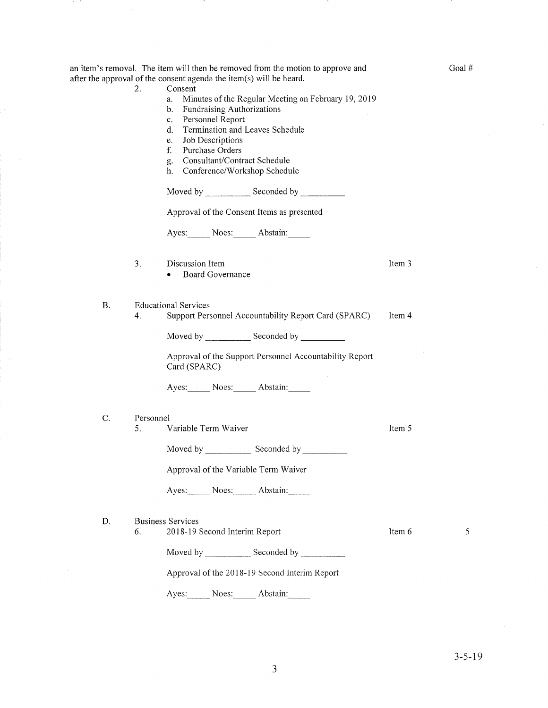|           | an item's removal. The item will then be removed from the motion to approve and<br>after the approval of the consent agenda the item(s) will be heard.                                                                                                                                                           |        | Goal# |
|-----------|------------------------------------------------------------------------------------------------------------------------------------------------------------------------------------------------------------------------------------------------------------------------------------------------------------------|--------|-------|
|           | 2.<br>Consent<br>Minutes of the Regular Meeting on February 19, 2019<br>a.<br>Fundraising Authorizations<br>b.<br>Personnel Report<br>c.<br>Termination and Leaves Schedule<br>d.<br>Job Descriptions<br>e.<br>f.<br>Purchase Orders<br>Consultant/Contract Schedule<br>g.<br>Conference/Workshop Schedule<br>h. |        |       |
|           |                                                                                                                                                                                                                                                                                                                  |        |       |
|           | Approval of the Consent Items as presented                                                                                                                                                                                                                                                                       |        |       |
|           | Ayes: Noes: Abstain:                                                                                                                                                                                                                                                                                             |        |       |
|           | 3.<br>Discussion Item<br><b>Board Governance</b>                                                                                                                                                                                                                                                                 | Item 3 |       |
| <b>B.</b> | <b>Educational Services</b><br>Support Personnel Accountability Report Card (SPARC)<br>4.                                                                                                                                                                                                                        | Item 4 |       |
|           | Moved by ______________ Seconded by ____________                                                                                                                                                                                                                                                                 |        |       |
|           | Approval of the Support Personnel Accountability Report<br>Card (SPARC)                                                                                                                                                                                                                                          |        |       |
|           | Ayes: Noes: Abstain:                                                                                                                                                                                                                                                                                             |        |       |
| C.        | Personnel                                                                                                                                                                                                                                                                                                        |        |       |
|           | Variable Term Waiver<br>5.                                                                                                                                                                                                                                                                                       | Item 5 |       |
|           |                                                                                                                                                                                                                                                                                                                  |        |       |
|           | Approval of the Variable Term Waiver                                                                                                                                                                                                                                                                             |        |       |
|           | Ayes: Noes: Abstain:                                                                                                                                                                                                                                                                                             |        |       |
| D.        | <b>Business Services</b><br>2018-19 Second Interim Report<br>6.                                                                                                                                                                                                                                                  | Item 6 | 5     |
|           | Moved by Seconded by Seconded by Seconded by Seconded by Seconded by Seconded by Seconded by Seconded by Seconded by Seconded by Seconded by Seconded by Seconded by Seconded by Seconded by Seconded by Seconded by Seconded                                                                                    |        |       |
|           | Approval of the 2018-19 Second Interim Report                                                                                                                                                                                                                                                                    |        |       |
|           | Abstain:<br>Ayes:<br>Noes:                                                                                                                                                                                                                                                                                       |        |       |

 $\sim$ 

30 Mil

 $\sim$ 

 $\mathcal{A}$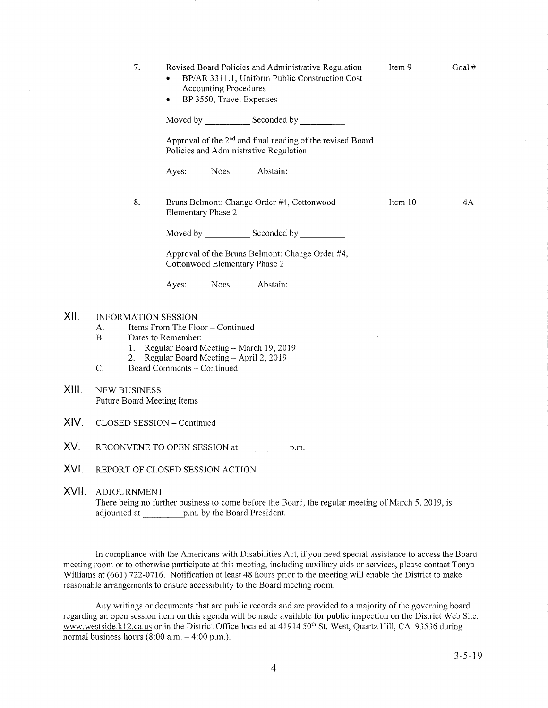|       | 7.                                                                                                                                                                                                                                      | Revised Board Policies and Administrative Regulation<br>BP/AR 3311.1, Uniform Public Construction Cost<br><b>Accounting Procedures</b><br>BP 3550, Travel Expenses<br>٠ | Item 9  | Goal# |  |  |
|-------|-----------------------------------------------------------------------------------------------------------------------------------------------------------------------------------------------------------------------------------------|-------------------------------------------------------------------------------------------------------------------------------------------------------------------------|---------|-------|--|--|
|       |                                                                                                                                                                                                                                         |                                                                                                                                                                         |         |       |  |  |
|       |                                                                                                                                                                                                                                         | Approval of the 2 <sup>nd</sup> and final reading of the revised Board<br>Policies and Administrative Regulation                                                        |         |       |  |  |
|       |                                                                                                                                                                                                                                         | Ayes: Noes: Abstain:                                                                                                                                                    |         |       |  |  |
|       | 8.                                                                                                                                                                                                                                      | Bruns Belmont: Change Order #4, Cottonwood<br>Elementary Phase 2                                                                                                        | Item 10 | 4Α    |  |  |
|       |                                                                                                                                                                                                                                         |                                                                                                                                                                         |         |       |  |  |
|       |                                                                                                                                                                                                                                         | Approval of the Bruns Belmont: Change Order #4,<br>Cottonwood Elementary Phase 2                                                                                        |         |       |  |  |
|       |                                                                                                                                                                                                                                         | Ayes: Noes: Abstain:                                                                                                                                                    |         |       |  |  |
| XII.  | <b>INFORMATION SESSION</b><br>Items From The Floor - Continued<br>А.<br><b>B.</b><br>Dates to Remember:<br>1. Regular Board Meeting - March 19, 2019<br>Regular Board Meeting - April 2, 2019<br>2.<br>C.<br>Board Comments - Continued |                                                                                                                                                                         |         |       |  |  |
| XIII. | <b>NEW BUSINESS</b><br>Future Board Meeting Items                                                                                                                                                                                       |                                                                                                                                                                         |         |       |  |  |
| XIV.  | CLOSED SESSION - Continued                                                                                                                                                                                                              |                                                                                                                                                                         |         |       |  |  |
| XV.   | RECONVENE TO OPEN SESSION at<br>p.m.                                                                                                                                                                                                    |                                                                                                                                                                         |         |       |  |  |
| XVI.  | REPORT OF CLOSED SESSION ACTION                                                                                                                                                                                                         |                                                                                                                                                                         |         |       |  |  |

XVll. ADJoURNMENT

There being no further business to come before the Board, the regular meeting of March 5, 2019, is adjourned at p.m. by the Board President.

In compliance with the Americans with Disabilities Act, if you need special assistance to access the Board meeting room or to otherwise participate at this meeting, including auxiliary aids or services, please contact Tonya Williams at (661) 722-0716. Notification at least 48 hours prior to the meeting will enable the District to make reasonable arrangements to ensure accessibility to the Board meeting room.

Any writings or documents that are public records and are provided to a majority of the governing board regarding an open session item on this agenda will be made available for public inspection on the District Web Site, www.westside.k12.ca.us or in the District Office located at 41914 50<sup>th</sup> St. West, Quartz Hill, CA 93536 during normal business hours  $(8:00 a.m. - 4:00 p.m.).$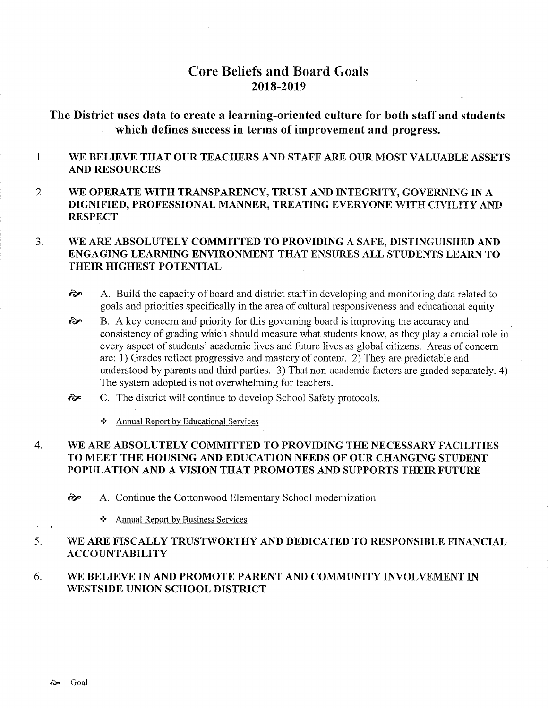# Core Beliefs and Board Goals 2018-2019

# The District uses data to create a learning-oriented culture for both staff and students which defines success in terms of improvement and progress.

### 1 WE BELIEVE THAT OUR TEACHERS AND STAFF ARE OUR MOST VALUABLE ASSETS AND RESOURCES

2 WE OPERATE WITH TRANSPARENCY, TRUST AND INTEGRITY, GOVERNING IN A DIGNIFIED, PROFESSIONAL MANNER, TREATING EVERYONE WITH CIVILITY AND **RESPECT** 

### WE ARE ABSOLUTELY COMMITTED TO PROVIDING A SAFE, DISTINGUISHED AND ENGAGING LEARNING ENVIRONMENT THAT ENSURES ALL STUDENTS LEARN TO THEIR HIGHEST POTENTIAL J

ôp A. Build the capacity of board and district staff in developing and monitoring data related to goals and priorities specifically in the area of cultural responsiveness and educational equity

B. A key concern and priority for this governing board is improving the accuracy and consistency of grading which should measure what students know, as they play acrucial role in every aspect of students' academic lives and future lives as global citizens. Areas of concern are: 1) Grades reflect progressive and mastery of content. 2) They are predictable and understood by parents and third parties. 3) That non-academic factors are graded separately. 4) The system adopted is not overwhelming for teachers. ôp

- C. The district will continue to develop School Safety protocols. ôp
	- \* Annual Report by Educational Services

### WE ARE ABSOLUTELY COMMITTED TO PROVIDING THE NECESSARY FACILITIES TO MEET THE HOUSING AND EDUCATION NEEDS OF OUR CHANGING STUDENT POPULATION AND A VISION THAT PROMOTES AND SUPPORTS THEIR FUTURE 4

è" A. Continue the Cottonwood Elementary School modernization

\* Annual Report by Business Services

### WE ARE FISCALLY TRUSTWORTHY AND DEDICATED TO RESPONSIBLE FINANCIAL ACCOUNTABILITY 5

### WE BELIEVE IN AND PROMOTE PARENT AND COMMUNITY INVOLVEMENT IN \ryESTSIDE UNION SCHOOL DISTRICT 6.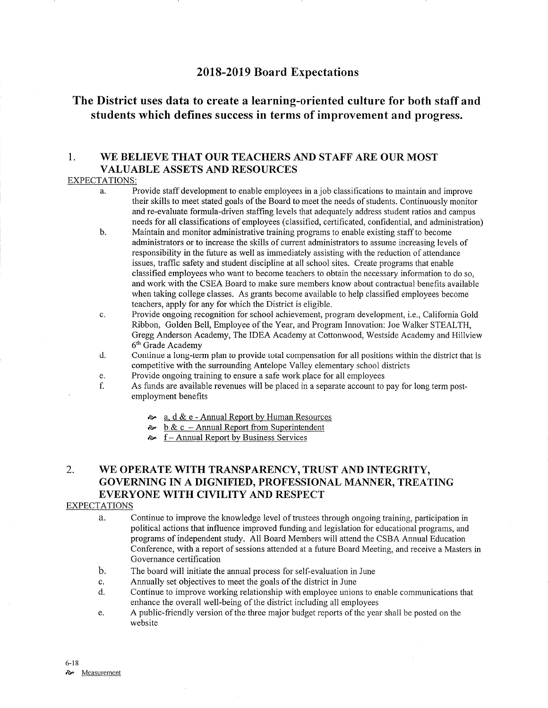# 2018-2019 Board Expectations

# The District uses data to create a learning-oriented culture for both staff and students which defines success in terms of improvement and progress.

# 1. WE BELIEVE THAT OUR TEACHERS AND STAFF ARE OUR MOST VALUABLE ASSETS AND RESOURCES

## EXPECTATIONS:

- a. Provide staff development to enable employees in a job classifications to maintain and improve their skills to meet stated goals of the Board to meet the needs of sfudents. Continuously monitor and re-evaluate formula-driven staffmg levels that adequately address student ratios and campus needs for all classifications of employees (classihed, certificated, confidential, and administration) b. Maintain and monitor administrative training programs to enable existing staff to become
- administrators or to increase the skills of curent administrators to assume increasing levels of responsibility in the future as well as immediately assisting with the reduction of attendance issues, traffic safety and student discipline at all school sites. Create programs that enable classified employees who want to become teachers to obtain the necessary information to do so, and work with the CSEA Board to make sure members know about contractual benefits available when taking college classes. As grants become available to help classified employees become teachers, apply for any for which the District is eligible.
- c. Provide ongoing recognition for school achievement, program development, i.e., California Gold Ribbon, Golden Bell, Employee of the Year, and Program Innovation: Joe Walker STEALTH, Gregg Anderson Academy, The IDEA Academy at Cottonwood, Westside Academy and Hillview  $6<sup>th</sup>$  Grade Academy d. Continue a long-term plan to provide total compensation for all positions within the district that is
- competitive with the surrounding Antelope Valley elementary school districts
- 
- e. Provide ongoing training to ensure a safe work place for all employees f. As funds are available revenues will be placed in a separate account to pay for long term post- employment benefits
	- $\frac{\infty}{\infty}$  a. d & e Annual Report by Human Resources  $\frac{\infty}{\infty}$  b & c Annual Report from Superintendent
	-
	- $\sim$  f Annual Report by Business Services

# 2. WE OPERATE WITH TRANSPARENCY, TRUST AND INTEGRITY, GOVERNING IN A DIGNIFIED, PROFESSIONAL MANNER, TREATING EVERYONE WITH CIVILITY AND RESPECT

## EXPECTATIONS

a. Continue to improve the knowledge level of trustees through ongoing training, participation in political actions that influence improved funding and legislation for educational programs, and programs of independent study. All Board Members will attend the CSBA Annual Education Conference, with a report of sessions attended at a future Board Meeting, and receive a Masters in Governance certification

- b. The board will initiate the annual process for self-evaluation in June
- 
- c. Annually set objectives to meet the goals of the district in June d. Continue to improve working relationship with employee unions to enable communications that enhance the overall well-being of the district including all employees
- e. A public-friendly version of the three major budget reports of the year shall be posted on the website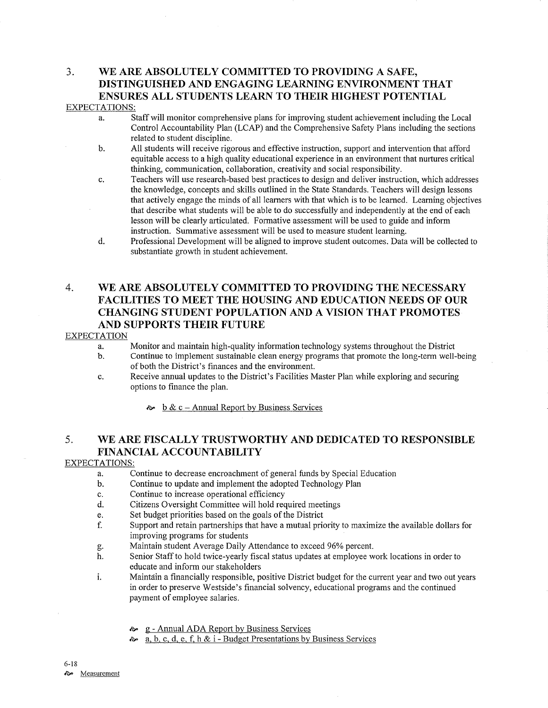## 3. \ryE ARE ABSOLUTELY COMMITTED TO PROVIDING A SAFE, DISTINGUISHED AND ENGAGING LEARNING ENVIRONMENT THAT ENSURES ALL STUDENTS LEARN TO THEIR HIGHEST POTENTIAL EXPECTATIONS:

- a. Staff will monitor comprehensive plans for improving student achievement including the Local Control Accountability Plan (LCAP) and the Comprehensive Safety Plans including the sections related to student discipline.<br>b. All students will receive rigorous and effective instruction, support and intervention that afford
- equitable access to a high qualiry educational experience in an environment that nurtures critical thinking, communication, collaboration, creativity and social responsibility.
- c. Teachers will use research-based best practices to design and deliver instruction, which addresses the knowledge, concepts and skills outlined in the State Standards. Teachers will design lessons that actively engage the minds of all learners with that which is to be learned. Leaming objectives that describe what students will be able to do successfully and independently at the end of each lesson will be clearly articulated. Formative assessment will be used to guide and inform instruction. Summative assessment will be used to measure student learning. d. Professional Development will be aligned to improve student outcomes. Data will be collected to
- substantiate growth in student achievement.

# 4. WE ARE ABSOLUTELY COMMITTED TO PROVIDING THE NECESSARY FACILITIES TO MEET THE HOUSING AND EDUCATION NEEDS OF OUR CHANGING STUDENT POPULATION AND A VISION THAT PROMOTES AND SUPPORTS THEIR FUTURE

## **EXPECTATION**

- 
- a. Monitor and maintain high-quality information technology systems throughout the District b. Continue to implement sustainable clean energy programs that promote the long-term well-being of both the District's finances and the environment.
- c. Receive annual updates to the District's Facilities Master Plan while exploring and securing options to finance the plan.
	- $\approx \frac{b \& c \text{Annual Report by Business Services}}{c}$

# 5. WE ARE FISCALLY TRUSTWORTHY AND DEDICATED TO RESPONSIBLE FINANCIAL ACCOUNTABILITY

## EXPECTATIONS:

- a. Continue to decrease encroachment of general funds by Special Education<br>b. Continue to update and implement the adopted Technology Plan<br>c. Continue to increase operational efficiency
- 
- 
- c. Continue to increase operational efficiency<br>d. Citizens Oversight Committee will hold required meetings
- 
- e. Set budget priorities based on the goals of the District ending the available dollars for the Support and retain partnerships that have a mutual priority to maximize the available dollars for improving programs for students<br>Maintain student Average Daily Attendance to exceed 96% percent.
- 
- g. Maintain student Average Daily Attendance to exceed 960/o percent. h. Senior Staff to hold twice-yearly fiscal status updates at employee work locations in order to educate and inform our stakeholders
- i. Maintain a financially responsible, positive District budget for the current year and two out years in order to preserve Westside's financial solvency, educational programs and the continued payment of employee salaries.
	- & g Annual ADA Report by Business Services
	- $\approx a, b, c, d, e, f, h & i$  Budget Presentations by Business Services